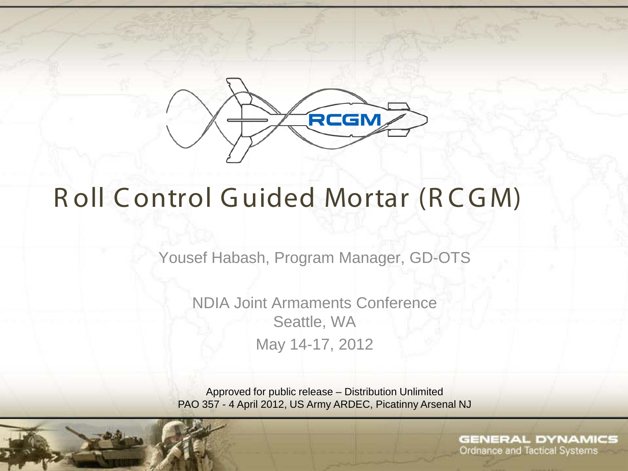

# R oll Control Guided Mortar (RCGM)

Yousef Habash, Program Manager, GD-OTS

NDIA Joint Armaments Conference Seattle, WA May 14-17, 2012

Approved for public release – Distribution Unlimited PAO 357 - 4 April 2012, US Army ARDEC, Picatinny Arsenal NJ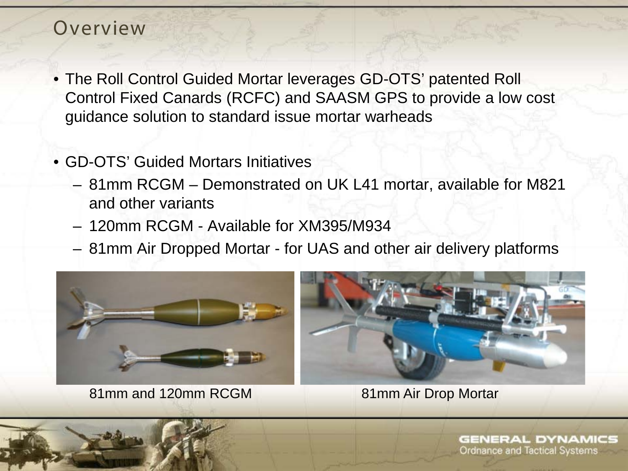#### Overview

- The Roll Control Guided Mortar leverages GD-OTS' patented Roll Control Fixed Canards (RCFC) and SAASM GPS to provide a low cost guidance solution to standard issue mortar warheads
- GD-OTS' Guided Mortars Initiatives
	- 81mm RCGM Demonstrated on UK L41 mortar, available for M821 and other variants
	- 120mm RCGM Available for XM395/M934
	- 81mm Air Dropped Mortar for UAS and other air delivery platforms



81mm and 120mm RCGM 81mm Air Drop Mortar

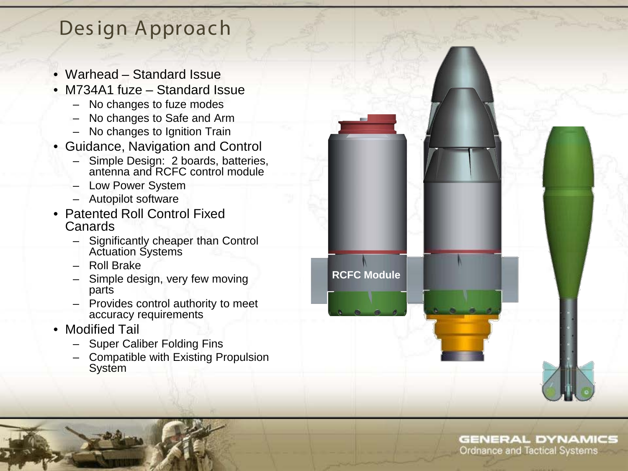### Des ign Approach

- Warhead Standard Issue
- M734A1 fuze Standard Issue
	- No changes to fuze modes
	- No changes to Safe and Arm
	- No changes to Ignition Train
- Guidance, Navigation and Control
	- Simple Design: 2 boards, batteries, antenna and RCFC control module
	- Low Power System
	- Autopilot software
- Patented Roll Control Fixed Canards
	- Significantly cheaper than Control Actuation Systems
	- Roll Brake
	- Simple design, very few moving parts
	- Provides control authority to meet accuracy requirements
- Modified Tail
	- Super Caliber Folding Fins
	- Compatible with Existing Propulsion System

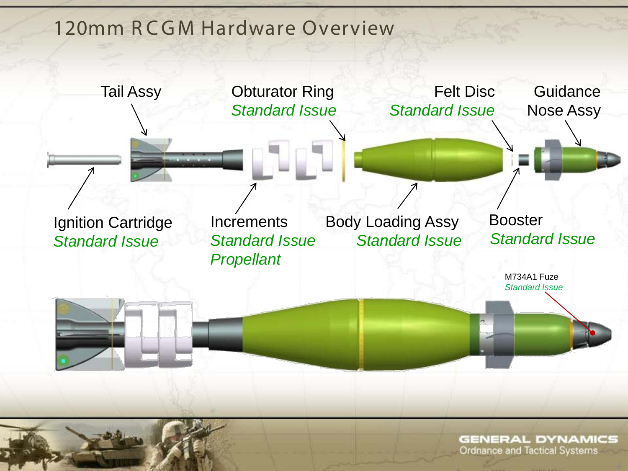#### 120mm RCGM Hardware Overview

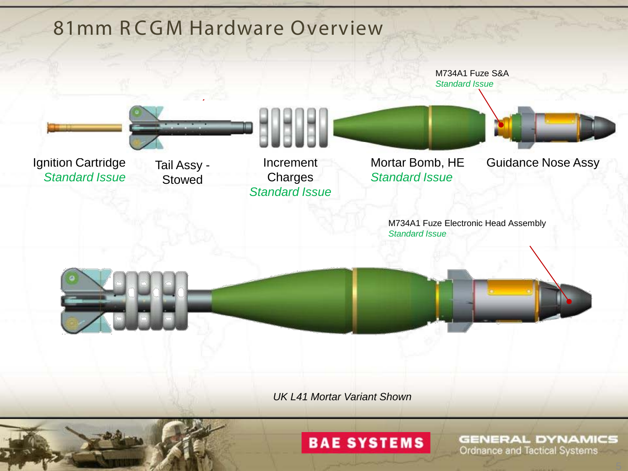

#### **BAE SYSTEMS**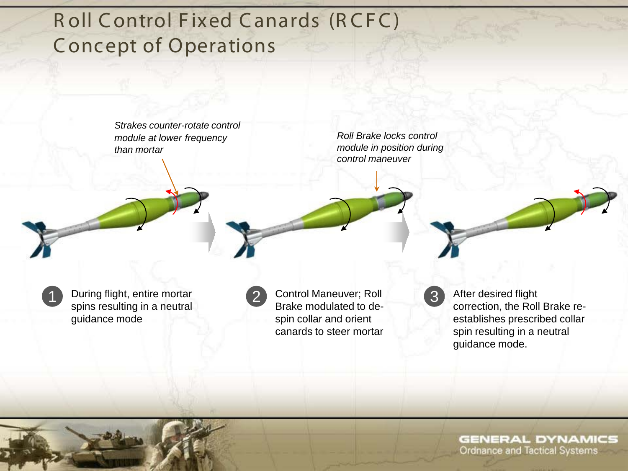## Roll Control Fixed Canards (RCFC) C oncept of Operations

*Strakes counter-rotate control module at lower frequency than mortar*

*Roll Brake locks control module in position during control maneuver*

1 During flight, entire mortar (2) Control Maneuver; Roll (3) spins resulting in a neutral guidance mode

Control Maneuver; Roll Brake modulated to despin collar and orient canards to steer mortar

After desired flight correction, the Roll Brake reestablishes prescribed collar spin resulting in a neutral guidance mode.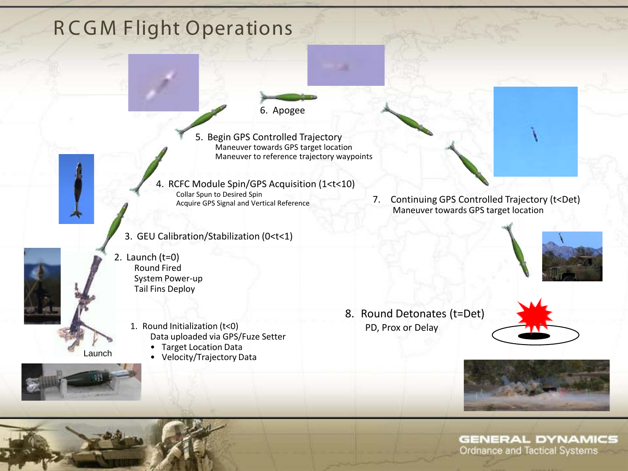## **RCGM Flight Operations**

6. Apogee

5. Begin GPS Controlled Trajectory Maneuver towards GPS target location Maneuver to reference trajectory waypoints

4. RCFC Module Spin/GPS Acquisition (1<t<10) Collar Spun to Desired Spin<br>Acquire GPS Signal and Vertical Reference

3. GEU Calibration/Stabilization (0<t<1)

2. Launch (t=0) Round Fired System Power-up Tail Fins Deploy

Launch

- 1. Round Initialization (t<0) Data uploaded via GPS/Fuze Setter
	- Target Location Data
	- Velocity/Trajectory Data





8. Round Detonates (t=Det) PD, Prox or Delay



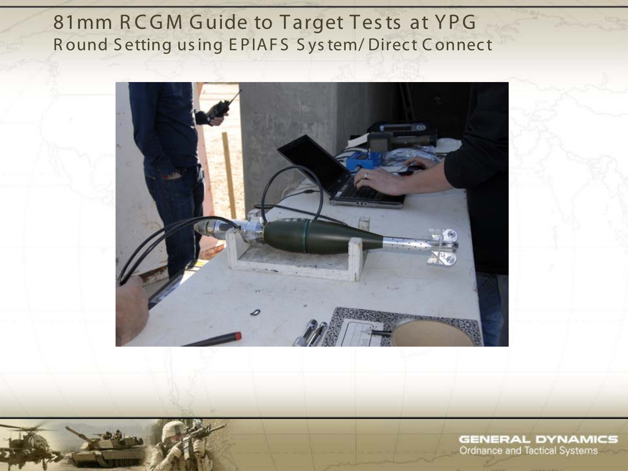### 81mm RCGM Guide to Target Tests at YPG Round Setting using EPIAFS System/Direct Connect

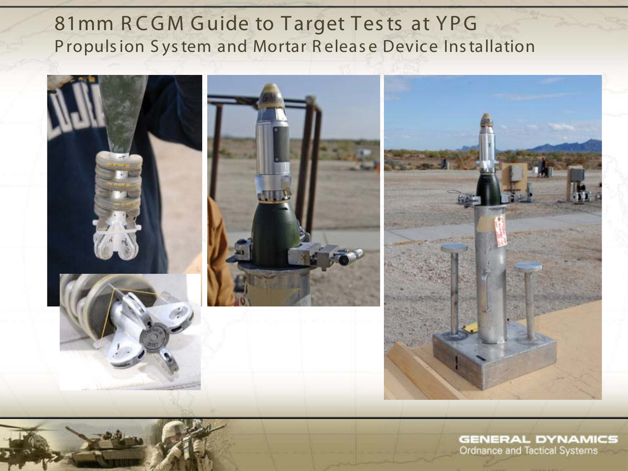### 81mm RCGM Guide to Target Tests at YPG Propulsion System and Mortar Release Device Installation

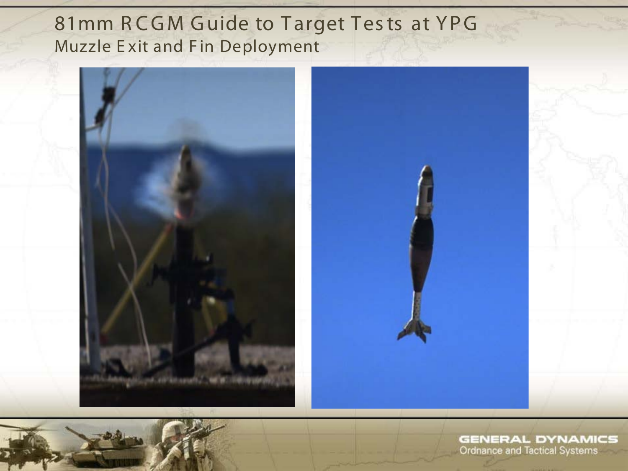#### 81mm RCGM Guide to Target Tests at YPG Muzzle Exit and Fin Deployment



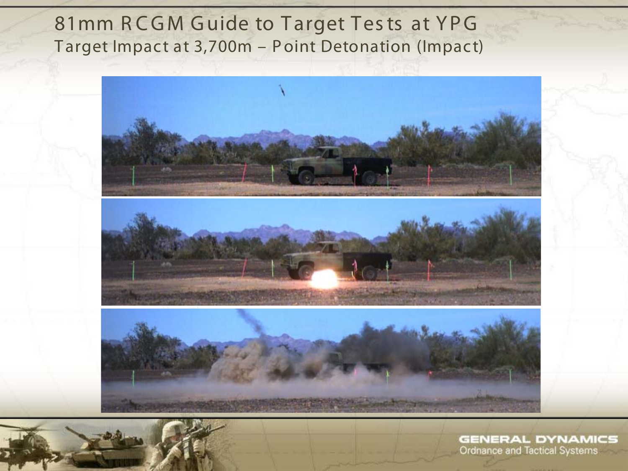#### 81mm RCGM Guide to Target Tests at YPG Target Impact at 3,700m - Point Detonation (Impact)

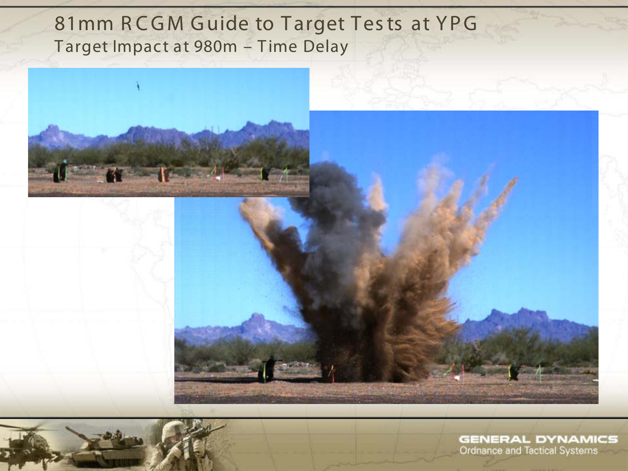#### 81mm RCGM Guide to Target Tests at YPG Target Impact at 980m - Time Delay





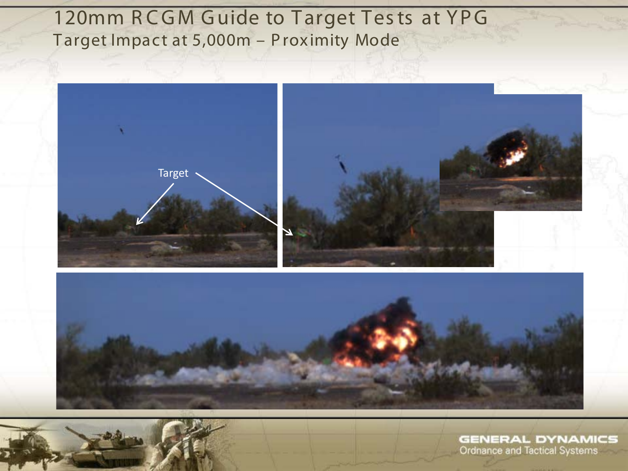### 120mm RCGM Guide to Target Tests at YPG Target Impact at 5,000m - Proximity Mode





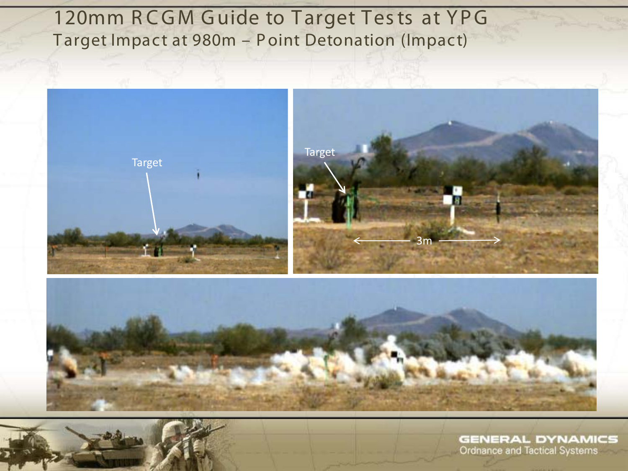## 120mm RCGM Guide to Target Tests at YPG Target Impact at 980m - Point Detonation (Impact)



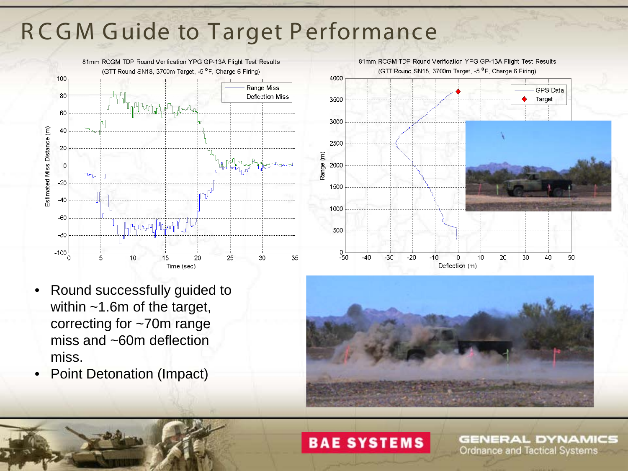## **RCGM Guide to Target Performance**



- Round successfully guided to within ~1.6m of the target, correcting for ~70m range miss and ~60m deflection miss.
- Point Detonation (Impact)





#### **BAE SYSTEMS**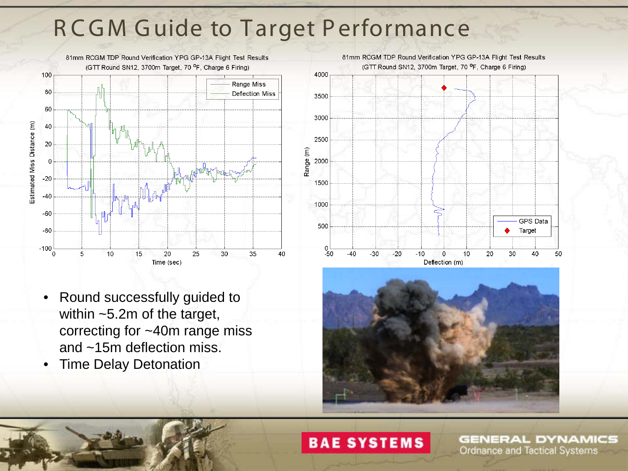# **RCGM Guide to Target Performance**



- Round successfully guided to within ~5.2m of the target, correcting for ~40m range miss and ~15m deflection miss.
- Time Delay Detonation





#### **BAE SYSTEMS**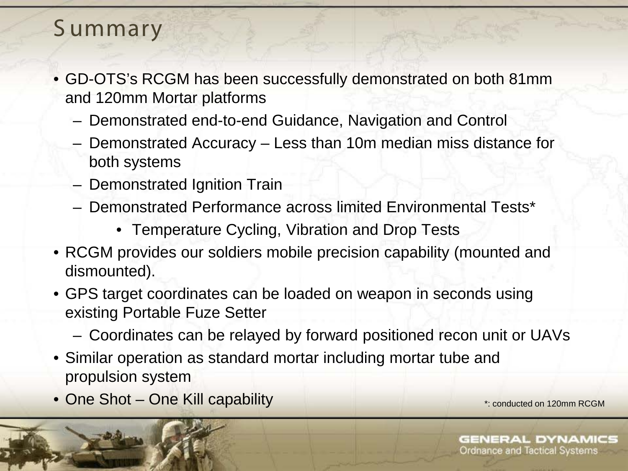## S ummary

- GD-OTS's RCGM has been successfully demonstrated on both 81mm and 120mm Mortar platforms
	- Demonstrated end-to-end Guidance, Navigation and Control
	- Demonstrated Accuracy Less than 10m median miss distance for both systems
	- Demonstrated Ignition Train
	- Demonstrated Performance across limited Environmental Tests\*
		- Temperature Cycling, Vibration and Drop Tests
- RCGM provides our soldiers mobile precision capability (mounted and dismounted).
- GPS target coordinates can be loaded on weapon in seconds using existing Portable Fuze Setter
	- Coordinates can be relayed by forward positioned recon unit or UAVs
- Similar operation as standard mortar including mortar tube and propulsion system
- One Shot One Kill capability  $\bullet$  Shot One Kill capability